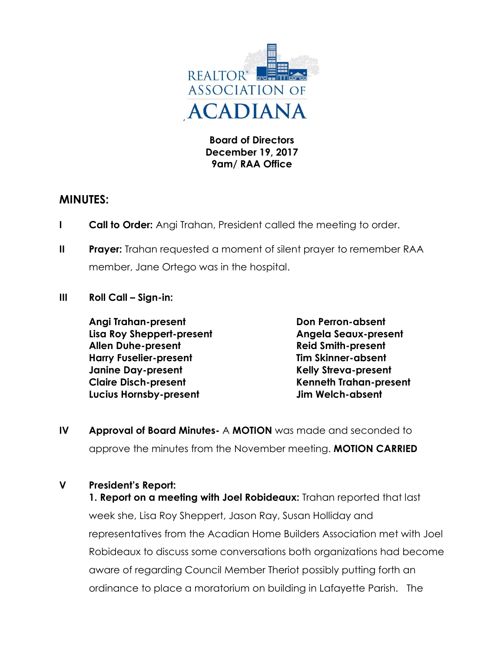

**Board of Directors December 19, 2017 9am/ RAA Office**

# **MINUTES:**

- **I Call to Order:** Angi Trahan, President called the meeting to order.
- **II Prayer:** Trahan requested a moment of silent prayer to remember RAA member, Jane Ortego was in the hospital.
- **III Roll Call – Sign-in:**

**Angi Trahan-present Don Perron-absent Lisa Roy Sheppert-present Angela Seaux-present Allen Duhe-present Reid Smith-present Harry Fuselier-present Tim Skinner-absent Janine Day-present Kelly Streva-present Claire Disch-present Kenneth Trahan-present Lucius Hornsby-present Jim Welch-absent**

**IV Approval of Board Minutes-** A **MOTION** was made and seconded to approve the minutes from the November meeting. **MOTION CARRIED**

## **V President's Report:**

**1. Report on a meeting with Joel Robideaux:** Trahan reported that last week she, Lisa Roy Sheppert, Jason Ray, Susan Holliday and representatives from the Acadian Home Builders Association met with Joel Robideaux to discuss some conversations both organizations had become aware of regarding Council Member Theriot possibly putting forth an ordinance to place a moratorium on building in Lafayette Parish. The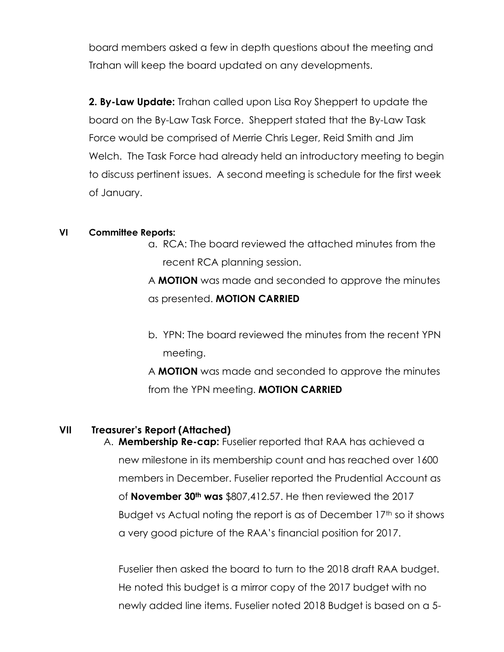board members asked a few in depth questions about the meeting and Trahan will keep the board updated on any developments.

**2. By-Law Update:** Trahan called upon Lisa Roy Sheppert to update the board on the By-Law Task Force. Sheppert stated that the By-Law Task Force would be comprised of Merrie Chris Leger, Reid Smith and Jim Welch. The Task Force had already held an introductory meeting to begin to discuss pertinent issues. A second meeting is schedule for the first week of January.

### **VI Committee Reports:**

a. RCA: The board reviewed the attached minutes from the recent RCA planning session.

A **MOTION** was made and seconded to approve the minutes as presented. **MOTION CARRIED**

b. YPN: The board reviewed the minutes from the recent YPN meeting.

A **MOTION** was made and seconded to approve the minutes from the YPN meeting. **MOTION CARRIED**

## **VII Treasurer's Report (Attached)**

A. **Membership Re-cap:** Fuselier reported that RAA has achieved a new milestone in its membership count and has reached over 1600 members in December. Fuselier reported the Prudential Account as of **November 30th was** \$807,412.57. He then reviewed the 2017 Budget vs Actual noting the report is as of December 17<sup>th</sup> so it shows a very good picture of the RAA's financial position for 2017.

Fuselier then asked the board to turn to the 2018 draft RAA budget. He noted this budget is a mirror copy of the 2017 budget with no newly added line items. Fuselier noted 2018 Budget is based on a 5-